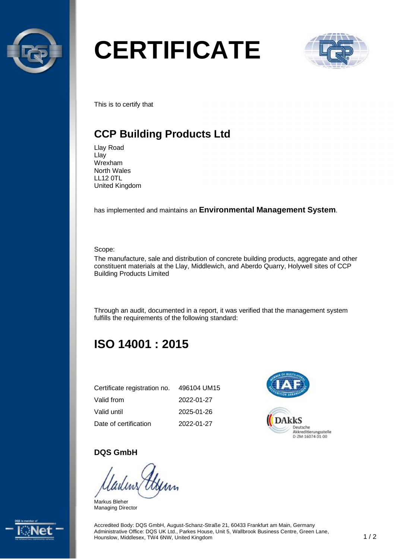

# **CERTIFICATE**



This is to certify that

# **CCP Building Products Ltd**

Llay Road Llay Wrexham North Wales LL12 0TL United Kingdom

has implemented and maintains an **Environmental Management System**.

Scope:

The manufacture, sale and distribution of concrete building products, aggregate and other constituent materials at the Llay, Middlewich, and Aberdo Quarry, Holywell sites of CCP Building Products Limited

Through an audit, documented in a report, it was verified that the management system fulfills the requirements of the following standard:

# **ISO 14001 : 2015**

| Certificate registration no. | 496104 UM15 |
|------------------------------|-------------|
| Valid from                   | 2022-01-27  |
| Valid until                  | 2025-01-26  |
| Date of certification        | 2022-01-27  |



#### **DQS GmbH**

Markus Bleher Managing Director



Accredited Body: DQS GmbH, August-Schanz-Straße 21, 60433 Frankfurt am Main, Germany Administrative Office: DQS UK Ltd., Parkes House, Unit 5, Wallbrook Business Centre, Green Lane, Hounslow, Middlesex, TW4 6NW, United Kingdom 1 / 2